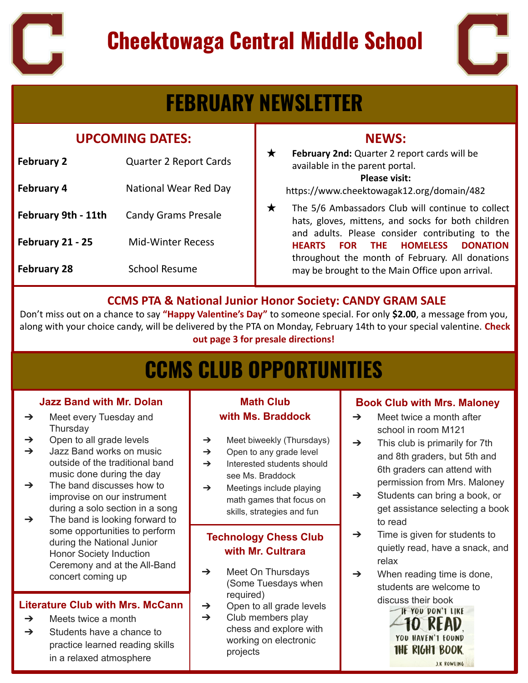

# **Cheektowaga Central Middle School**



# **FEBRUARY NEWSLETTER**

#### **UPCOMING DATES:**

| <b>February 2</b>   | Quarter 2 Report Cards       |
|---------------------|------------------------------|
| <b>February 4</b>   | <b>National Wear Red Day</b> |
| February 9th - 11th | <b>Candy Grams Presale</b>   |
| February 21 - 25    | <b>Mid-Winter Recess</b>     |
| <b>February 28</b>  | <b>School Resume</b>         |

### **NEWS:**

★ **February 2nd:** Quarter 2 report cards will be available in the parent portal.

#### **Please visit:**

 <https://www.cheektowagak12.org/domain/482>

 may be brought to the Main Office upon arrival.  $\star$  The 5/6 Ambassadors Club will continue to collect hats, gloves, mittens, and socks for both children and adults. Please consider contributing to the **HEARTS FOR THE HOMELESS DONATION** throughout the month of February. All donations

#### **CCMS PTA & National Junior Honor Society: CANDY GRAM SALE**

Don't miss out on a chance to say **"Happy Valentine's Day"** to someone special. For only **\$2.00**, a message from you, along with your choice candy, will be delivered by the PTA on Monday, February 14th to your special valentine. **Check out page 3 for presale directions!**

# **CCMS CLUB OPPORTUNITIES**

#### **Jazz Band with Mr. Dolan**

- ➔ Meet every Tuesday and **Thursday**
- $\rightarrow$  Open to all grade levels
- $\rightarrow$  Jazz Band works on music outside of the traditional band music done during the day
- $\rightarrow$  The band discusses how to improvise on our instrument during a solo section in a song
- $\rightarrow$  The band is looking forward to some opportunities to perform during the National Junior Honor Society Induction Ceremony and at the All-Band concert coming up

#### **Literature Club with Mrs. McCann**

- $\rightarrow$  Meets twice a month
- $\rightarrow$  Students have a chance to practice learned reading skills in a relaxed atmosphere

#### **Math Club with Ms. Braddock**

- ➔ Meet biweekly (Thursdays)
- $\rightarrow$  Open to any grade level
- **→** Interested students should see Ms. Braddock
- $\rightarrow$  Meetings include playing math games that focus on skills, strategies and fun

#### **Technology Chess Club with Mr. Cultrara**

- $\rightarrow$  Meet On Thursdays (Some Tuesdays when required)
- $\rightarrow$  Open to all grade levels
- $\rightarrow$  Club members play chess and explore with working on electronic projects

#### **Book Club with Mrs. Maloney**

- $\rightarrow$  Meet twice a month after school in room M121
- $\rightarrow$  This club is primarily for 7th and 8th graders, but 5th and 6th graders can attend with permission from Mrs. Maloney
- $\rightarrow$  Students can bring a book, or get assistance selecting a book to read
- $\rightarrow$  Time is given for students to quietly read, have a snack, and relax
- $\rightarrow$  When reading time is done, students are welcome to discuss their book

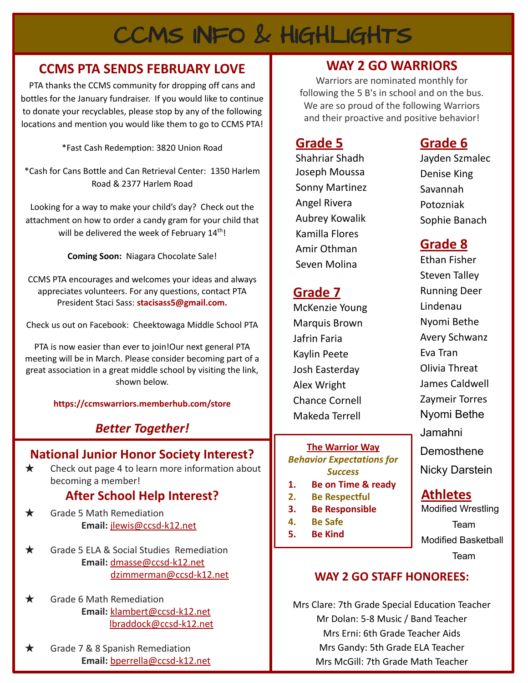# CCMS INFO & HIGHLIGHTS

### **CCMS PTA SENDS FEBRUARY LOVE**

PTA thanks the CCMS community for dropping off cans and bottles for the January fundraiser. If you would like to continue to donate your recyclables, please stop by any of the following locations and mention you would like them to go to CCMS PTA!

\*Fast Cash Redemption: 3820 Union Road

\*Cash for Cans Bottle and Can Retrieval Center: 1350 Harlem Road & 2377 Harlem Road

Looking for a way to make your child's day? Check out the attachment on how to order a candy gram for your child that will be delivered the week of February 14<sup>th</sup>!

**Coming Soon:** Niagara Chocolate Sale!

CCMS PTA encourages and welcomes your ideas and always appreciates volunteers. For any questions, contact PTA President Staci Sass: **[stacisass5@gmail.com.](mailto:stacisass5@gmail.com)** 

Check us out on Facebook: Cheektowaga Middle School PTA

PTA is now easier than ever to join!Our next general PTA meeting will be in March. Please consider becoming part of a great association in a great middle school by visiting the link, shown below.

**<https://ccmswarriors.memberhub.com/store>**

### *Better Together!*

#### **National Junior Honor Society Interest?**

 $\star$  Check out page 4 to learn more information about becoming a member!

#### **After School Help Interest?**

- $\star$  Grade 5 Math Remediation **Email:** [jlewis@ccsd-k12.net](mailto:jlewis@ccsd-k12.net)
- ★ Grade 5 ELA & Social Studies Remediation **Email:** [dmasse@ccsd-k12.net](mailto:dmasse@ccsd-k12.net) [dzimmerman@ccsd-k12.net](mailto:dzimmerman@ccsd-k12.net)
- $\star$  Grade 6 Math Remediation **Email:** [klambert@ccsd-k12.net](mailto:klambert@ccsd-k12.net) [lbraddock@ccsd-k12.net](mailto:lbraddock@ccsd-k12.net)
- Grade 7 & 8 Spanish Remediation **Email:** [bperrella@ccsd-k12.net](mailto:bperella@ccsd-k12.net)

#### **WAY 2 GO WARRIORS**

Warriors are nominated monthly for following the 5 B's in school and on the bus. We are so proud of the following Warriors and their proactive and positive behavior!

### **Grade 5**

Shahriar Shadh Joseph Moussa Sonny Martinez Angel Rivera Aubrey Kowalik Kamilla Flores Amir Othman Seven Molina

### **Grade 7**

McKenzie Young Marquis Brown Jafrin Faria Kaylin Peete Josh Easterday Alex Wright Chance Cornell Makeda Terrell

**The Warrior Way** *Behavior Expectations for Success*

- **1. Be on Time & ready**
- **2. Be Respectful**
- **3. Be Responsible**
- **4. Be Safe**
- **5. Be Kind**

### **Grade 6**

Jayden Szmalec Denise King Savannah Potozniak Sophie Banach

### **Grade 8**

Ethan Fisher Steven Talley Running Deer Lindenau Nyomi Bethe Avery Schwanz Eva Tran Olivia Threat James Caldwell Zaymeir Torres Nyomi Bethe Jamahni Demosthene Nicky Darstein

#### **Athletes**

Modified Wrestling Team Modified Basketball Team

#### **WAY 2 GO STAFF HONOREES:**

Mrs Clare: 7th Grade Special Education Teacher Mr Dolan: 5-8 Music / Band Teacher Mrs Erni: 6th Grade Teacher Aids Mrs Gandy: 5th Grade ELA Teacher Mrs McGill: 7th Grade Math Teacher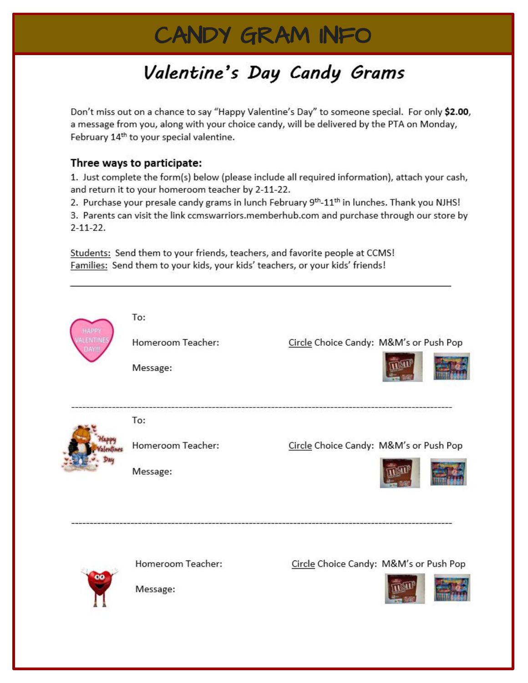# CANDY GRAM INFO

# Valentine's Day Candy Grams

Don't miss out on a chance to say "Happy Valentine's Day" to someone special. For only \$2.00, a message from you, along with your choice candy, will be delivered by the PTA on Monday, February 14<sup>th</sup> to your special valentine.

#### Three ways to participate:

1. Just complete the form(s) below (please include all required information), attach your cash, and return it to your homeroom teacher by 2-11-22.

2. Purchase your presale candy grams in lunch February 9<sup>th</sup>-11<sup>th</sup> in lunches. Thank you NJHS! 3. Parents can visit the link ccmswarriors.memberhub.com and purchase through our store by  $2 - 11 - 22$ .

Students: Send them to your friends, teachers, and favorite people at CCMS! Families: Send them to your kids, your kids' teachers, or your kids' friends!